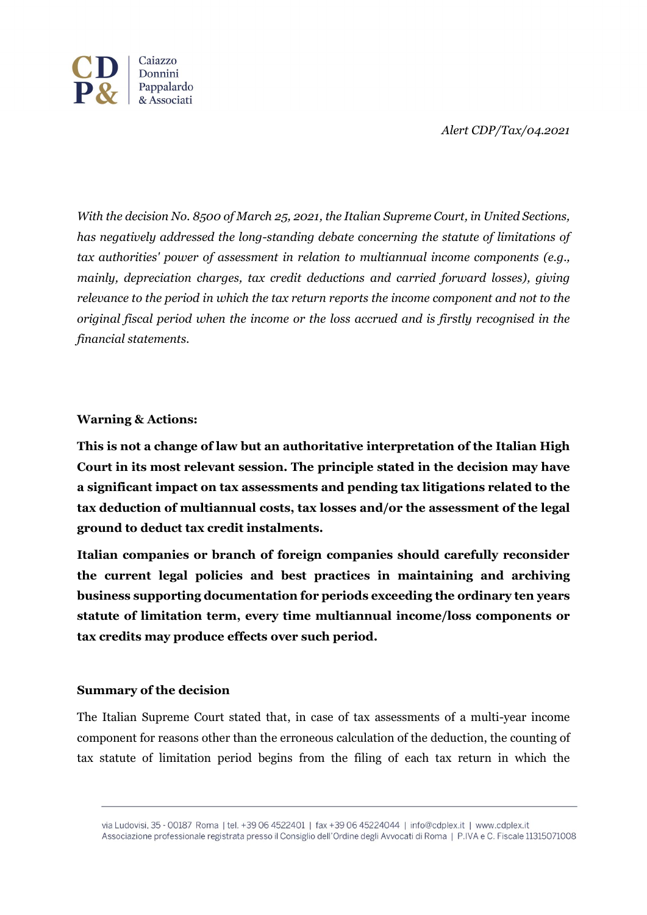*Alert CDP/Tax/04.2021*



*With the decision No. 8500 of March 25, 2021, the Italian Supreme Court, in United Sections, has negatively addressed the long-standing debate concerning the statute of limitations of tax authorities' power of assessment in relation to multiannual income components (e.g., mainly, depreciation charges, tax credit deductions and carried forward losses), giving relevance to the period in which the tax return reports the income component and not to the original fiscal period when the income or the loss accrued and is firstly recognised in the financial statements.*

## **Warning & Actions:**

**This is not a change of law but an authoritative interpretation of the Italian High Court in its most relevant session. The principle stated in the decision may have a significant impact on tax assessments and pending tax litigations related to the tax deduction of multiannual costs, tax losses and/or the assessment of the legal ground to deduct tax credit instalments.** 

**Italian companies or branch of foreign companies should carefully reconsider the current legal policies and best practices in maintaining and archiving business supporting documentation for periods exceeding the ordinary ten years statute of limitation term, every time multiannual income/loss components or tax credits may produce effects over such period.**

## **Summary of the decision**

The Italian Supreme Court stated that, in case of tax assessments of a multi-year income component for reasons other than the erroneous calculation of the deduction, the counting of tax statute of limitation period begins from the filing of each tax return in which the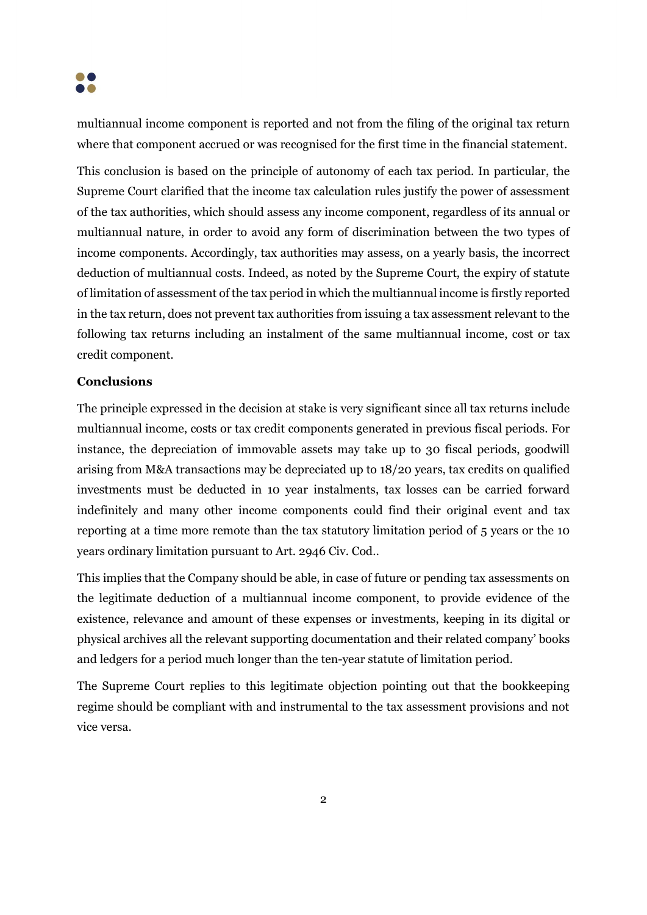

multiannual income component is reported and not from the filing of the original tax return where that component accrued or was recognised for the first time in the financial statement.

This conclusion is based on the principle of autonomy of each tax period. In particular, the Supreme Court clarified that the income tax calculation rules justify the power of assessment of the tax authorities, which should assess any income component, regardless of its annual or multiannual nature, in order to avoid any form of discrimination between the two types of income components. Accordingly, tax authorities may assess, on a yearly basis, the incorrect deduction of multiannual costs. Indeed, as noted by the Supreme Court, the expiry of statute of limitation of assessment of the tax period in which the multiannual income is firstly reported in the tax return, does not prevent tax authorities from issuing a tax assessment relevant to the following tax returns including an instalment of the same multiannual income, cost or tax credit component.

## **Conclusions**

The principle expressed in the decision at stake is very significant since all tax returns include multiannual income, costs or tax credit components generated in previous fiscal periods. For instance, the depreciation of immovable assets may take up to 30 fiscal periods, goodwill arising from M&A transactions may be depreciated up to 18/20 years, tax credits on qualified investments must be deducted in 10 year instalments, tax losses can be carried forward indefinitely and many other income components could find their original event and tax reporting at a time more remote than the tax statutory limitation period of 5 years or the 10 years ordinary limitation pursuant to Art. 2946 Civ. Cod..

This implies that the Company should be able, in case of future or pending tax assessments on the legitimate deduction of a multiannual income component, to provide evidence of the existence, relevance and amount of these expenses or investments, keeping in its digital or physical archives all the relevant supporting documentation and their related company' books and ledgers for a period much longer than the ten-year statute of limitation period.

The Supreme Court replies to this legitimate objection pointing out that the bookkeeping regime should be compliant with and instrumental to the tax assessment provisions and not vice versa.